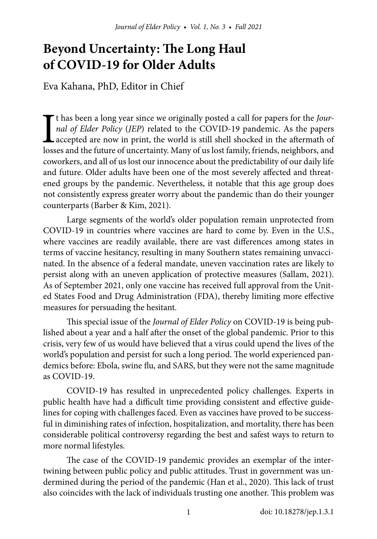# **Beyond Uncertainty: The Long Haul of COVID-19 for Older Adults**

Eva Kahana, PhD, Editor in Chief

It has been a long year since we originally posted a call for papers for the *Journal of Elder Policy* (*JEP*) related to the COVID-19 pandemic. As the papers accepted are now in print, the world is still shell shocked in t has been a long year since we originally posted a call for papers for the *Journal of Elder Policy* (*JEP*) related to the COVID-19 pandemic. As the papers accepted are now in print, the world is still shell shocked in the aftermath of coworkers, and all of us lost our innocence about the predictability of our daily life and future. Older adults have been one of the most severely affected and threatened groups by the pandemic. Nevertheless, it notable that this age group does not consistently express greater worry about the pandemic than do their younger counterparts (Barber & Kim, 2021).

Large segments of the world's older population remain unprotected from COVID-19 in countries where vaccines are hard to come by. Even in the U.S., where vaccines are readily available, there are vast differences among states in terms of vaccine hesitancy, resulting in many Southern states remaining unvaccinated. In the absence of a federal mandate, uneven vaccination rates are likely to persist along with an uneven application of protective measures (Sallam, 2021). As of September 2021, only one vaccine has received full approval from the United States Food and Drug Administration (FDA), thereby limiting more effective measures for persuading the hesitant.

This special issue of the *Journal of Elder Policy* on COVID-19 is being published about a year and a half after the onset of the global pandemic. Prior to this crisis, very few of us would have believed that a virus could upend the lives of the world's population and persist for such a long period. The world experienced pandemics before: Ebola, swine flu, and SARS, but they were not the same magnitude as COVID-19.

COVID-19 has resulted in unprecedented policy challenges. Experts in public health have had a difficult time providing consistent and effective guidelines for coping with challenges faced. Even as vaccines have proved to be successful in diminishing rates of infection, hospitalization, and mortality, there has been considerable political controversy regarding the best and safest ways to return to more normal lifestyles.

The case of the COVID-19 pandemic provides an exemplar of the intertwining between public policy and public attitudes. Trust in government was undermined during the period of the pandemic (Han et al., 2020). This lack of trust also coincides with the lack of individuals trusting one another. This problem was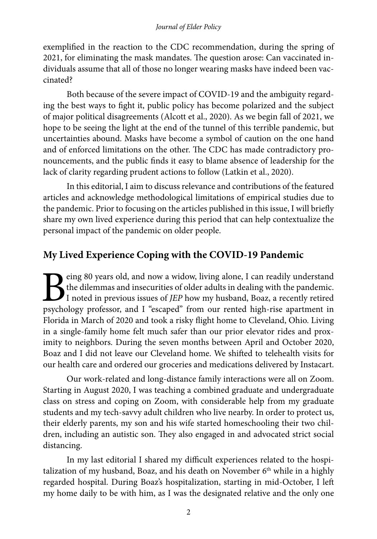exemplified in the reaction to the CDC recommendation, during the spring of 2021, for eliminating the mask mandates. The question arose: Can vaccinated individuals assume that all of those no longer wearing masks have indeed been vaccinated?

Both because of the severe impact of COVID-19 and the ambiguity regarding the best ways to fight it, public policy has become polarized and the subject of major political disagreements (Alcott et al., 2020). As we begin fall of 2021, we hope to be seeing the light at the end of the tunnel of this terrible pandemic, but uncertainties abound. Masks have become a symbol of caution on the one hand and of enforced limitations on the other. The CDC has made contradictory pronouncements, and the public finds it easy to blame absence of leadership for the lack of clarity regarding prudent actions to follow (Latkin et al., 2020).

In this editorial, I aim to discuss relevance and contributions of the featured articles and acknowledge methodological limitations of empirical studies due to the pandemic. Prior to focusing on the articles published in this issue, I will briefly share my own lived experience during this period that can help contextualize the personal impact of the pandemic on older people.

### **My Lived Experience Coping with the COVID-19 Pandemic**

Eventy of the dilemmas and insecurities of older adults in dealing with the pandemic.<br>I noted in previous issues of JEP how my husband, Boaz, a recently retired psychology professor, and I "escaped" from our rented high-ri the dilemmas and insecurities of older adults in dealing with the pandemic. I noted in previous issues of *JEP* how my husband, Boaz, a recently retired psychology professor, and I "escaped" from our rented high-rise apartment in Florida in March of 2020 and took a risky flight home to Cleveland, Ohio. Living in a single-family home felt much safer than our prior elevator rides and proximity to neighbors. During the seven months between April and October 2020, Boaz and I did not leave our Cleveland home. We shifted to telehealth visits for our health care and ordered our groceries and medications delivered by Instacart.

Our work-related and long-distance family interactions were all on Zoom. Starting in August 2020, I was teaching a combined graduate and undergraduate class on stress and coping on Zoom, with considerable help from my graduate students and my tech-savvy adult children who live nearby. In order to protect us, their elderly parents, my son and his wife started homeschooling their two children, including an autistic son. They also engaged in and advocated strict social distancing.

In my last editorial I shared my difficult experiences related to the hospitalization of my husband, Boaz, and his death on November  $6<sup>th</sup>$  while in a highly regarded hospital. During Boaz's hospitalization, starting in mid-October, I left my home daily to be with him, as I was the designated relative and the only one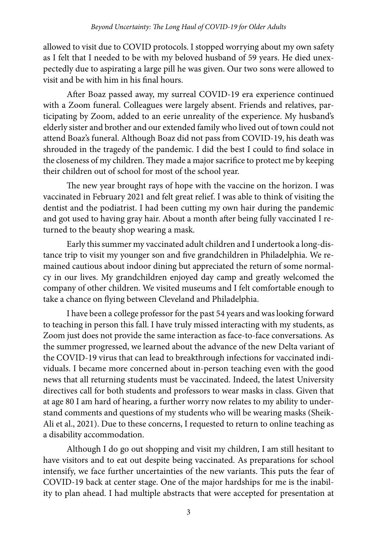allowed to visit due to COVID protocols. I stopped worrying about my own safety as I felt that I needed to be with my beloved husband of 59 years. He died unexpectedly due to aspirating a large pill he was given. Our two sons were allowed to visit and be with him in his final hours.

After Boaz passed away, my surreal COVID-19 era experience continued with a Zoom funeral. Colleagues were largely absent. Friends and relatives, participating by Zoom, added to an eerie unreality of the experience. My husband's elderly sister and brother and our extended family who lived out of town could not attend Boaz's funeral. Although Boaz did not pass from COVID-19, his death was shrouded in the tragedy of the pandemic. I did the best I could to find solace in the closeness of my children. They made a major sacrifice to protect me by keeping their children out of school for most of the school year.

The new year brought rays of hope with the vaccine on the horizon. I was vaccinated in February 2021 and felt great relief. I was able to think of visiting the dentist and the podiatrist. I had been cutting my own hair during the pandemic and got used to having gray hair. About a month after being fully vaccinated I returned to the beauty shop wearing a mask.

Early this summer my vaccinated adult children and I undertook a long-distance trip to visit my younger son and five grandchildren in Philadelphia. We remained cautious about indoor dining but appreciated the return of some normalcy in our lives. My grandchildren enjoyed day camp and greatly welcomed the company of other children. We visited museums and I felt comfortable enough to take a chance on flying between Cleveland and Philadelphia.

I have been a college professor for the past 54 years and was looking forward to teaching in person this fall. I have truly missed interacting with my students, as Zoom just does not provide the same interaction as face-to-face conversations. As the summer progressed, we learned about the advance of the new Delta variant of the COVID-19 virus that can lead to breakthrough infections for vaccinated individuals. I became more concerned about in-person teaching even with the good news that all returning students must be vaccinated. Indeed, the latest University directives call for both students and professors to wear masks in class. Given that at age 80 I am hard of hearing, a further worry now relates to my ability to understand comments and questions of my students who will be wearing masks (Sheik-Ali et al., 2021). Due to these concerns, I requested to return to online teaching as a disability accommodation.

Although I do go out shopping and visit my children, I am still hesitant to have visitors and to eat out despite being vaccinated. As preparations for school intensify, we face further uncertainties of the new variants. This puts the fear of COVID-19 back at center stage. One of the major hardships for me is the inability to plan ahead. I had multiple abstracts that were accepted for presentation at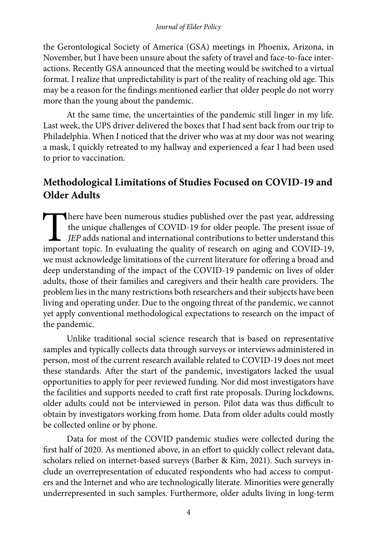the Gerontological Society of America (GSA) meetings in Phoenix, Arizona, in November, but I have been unsure about the safety of travel and face-to-face interactions. Recently GSA announced that the meeting would be switched to a virtual format. I realize that unpredictability is part of the reality of reaching old age. This may be a reason for the findings mentioned earlier that older people do not worry more than the young about the pandemic.

At the same time, the uncertainties of the pandemic still linger in my life. Last week, the UPS driver delivered the boxes that I had sent back from our trip to Philadelphia. When I noticed that the driver who was at my door was not wearing a mask, I quickly retreated to my hallway and experienced a fear I had been used to prior to vaccination.

### **Methodological Limitations of Studies Focused on COVID-19 and Older Adults**

There have been numerous studies published over the past year, addressing<br>the unique challenges of COVID-19 for older people. The present issue of<br>*JEP* adds national and international contributions to better understand th the unique challenges of COVID-19 for older people. The present issue of *JEP* adds national and international contributions to better understand this important topic. In evaluating the quality of research on aging and COVID-19, we must acknowledge limitations of the current literature for offering a broad and deep understanding of the impact of the COVID-19 pandemic on lives of older adults, those of their families and caregivers and their health care providers. The problem lies in the many restrictions both researchers and their subjects have been living and operating under. Due to the ongoing threat of the pandemic, we cannot yet apply conventional methodological expectations to research on the impact of the pandemic.

Unlike traditional social science research that is based on representative samples and typically collects data through surveys or interviews administered in person, most of the current research available related to COVID-19 does not meet these standards. After the start of the pandemic, investigators lacked the usual opportunities to apply for peer reviewed funding. Nor did most investigators have the facilities and supports needed to craft first rate proposals. During lockdowns, older adults could not be interviewed in person. Pilot data was thus difficult to obtain by investigators working from home. Data from older adults could mostly be collected online or by phone.

Data for most of the COVID pandemic studies were collected during the first half of 2020. As mentioned above, in an effort to quickly collect relevant data, scholars relied on internet-based surveys (Barber & Kim, 2021). Such surveys include an overrepresentation of educated respondents who had access to computers and the Internet and who are technologically literate. Minorities were generally underrepresented in such samples. Furthermore, older adults living in long-term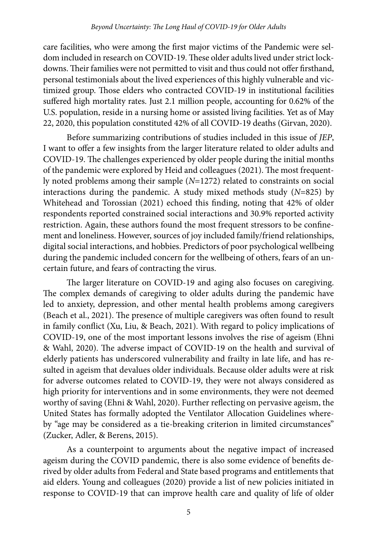care facilities, who were among the first major victims of the Pandemic were seldom included in research on COVID-19. These older adults lived under strict lockdowns. Their families were not permitted to visit and thus could not offer firsthand, personal testimonials about the lived experiences of this highly vulnerable and victimized group. Those elders who contracted COVID-19 in institutional facilities suffered high mortality rates. Just 2.1 million people, accounting for 0.62% of the U.S. population, reside in a nursing home or assisted living facilities. Yet as of May 22, 2020, this population constituted 42% of all COVID-19 deaths (Girvan, 2020).

Before summarizing contributions of studies included in this issue of *JEP*, I want to offer a few insights from the larger literature related to older adults and COVID-19. The challenges experienced by older people during the initial months of the pandemic were explored by Heid and colleagues (2021). The most frequently noted problems among their sample (*N*=1272) related to constraints on social interactions during the pandemic. A study mixed methods study (*N*=825) by Whitehead and Torossian (2021) echoed this finding, noting that 42% of older respondents reported constrained social interactions and 30.9% reported activity restriction. Again, these authors found the most frequent stressors to be confinement and loneliness. However, sources of joy included family/friend relationships, digital social interactions, and hobbies. Predictors of poor psychological wellbeing during the pandemic included concern for the wellbeing of others, fears of an uncertain future, and fears of contracting the virus.

The larger literature on COVID-19 and aging also focuses on caregiving. The complex demands of caregiving to older adults during the pandemic have led to anxiety, depression, and other mental health problems among caregivers (Beach et al., 2021). The presence of multiple caregivers was often found to result in family conflict (Xu, Liu, & Beach, 2021). With regard to policy implications of COVID-19, one of the most important lessons involves the rise of ageism (Ehni & Wahl, 2020). The adverse impact of COVID-19 on the health and survival of elderly patients has underscored vulnerability and frailty in late life, and has resulted in ageism that devalues older individuals. Because older adults were at risk for adverse outcomes related to COVID-19, they were not always considered as high priority for interventions and in some environments, they were not deemed worthy of saving (Ehni & Wahl, 2020). Further reflecting on pervasive ageism, the United States has formally adopted the Ventilator Allocation Guidelines whereby "age may be considered as a tie-breaking criterion in limited circumstances" (Zucker, Adler, & Berens, 2015).

As a counterpoint to arguments about the negative impact of increased ageism during the COVID pandemic, there is also some evidence of benefits derived by older adults from Federal and State based programs and entitlements that aid elders. Young and colleagues (2020) provide a list of new policies initiated in response to COVID-19 that can improve health care and quality of life of older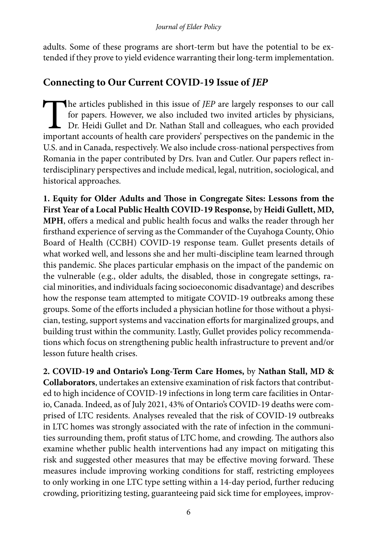adults. Some of these programs are short-term but have the potential to be extended if they prove to yield evidence warranting their long-term implementation.

## **Connecting to Our Current COVID-19 Issue of** *JEP*

The articles published in this issue of *JEP* are largely responses to our call for papers. However, we also included two invited articles by physicians, Dr. Heidi Gullet and Dr. Nathan Stall and colleagues, who each provi for papers. However, we also included two invited articles by physicians, Dr. Heidi Gullet and Dr. Nathan Stall and colleagues, who each provided important accounts of health care providers' perspectives on the pandemic in the U.S. and in Canada, respectively. We also include cross-national perspectives from Romania in the paper contributed by Drs. Ivan and Cutler. Our papers reflect interdisciplinary perspectives and include medical, legal, nutrition, sociological, and historical approaches.

**1. Equity for Older Adults and Those in Congregate Sites: Lessons from the First Year of a Local Public Health COVID-19 Response,** by **Heidi Gullett, MD, MPH**, offers a medical and public health focus and walks the reader through her firsthand experience of serving as the Commander of the Cuyahoga County, Ohio Board of Health (CCBH) COVID-19 response team. Gullet presents details of what worked well, and lessons she and her multi-discipline team learned through this pandemic. She places particular emphasis on the impact of the pandemic on the vulnerable (e.g., older adults, the disabled, those in congregate settings, racial minorities, and individuals facing socioeconomic disadvantage) and describes how the response team attempted to mitigate COVID-19 outbreaks among these groups. Some of the efforts included a physician hotline for those without a physician, testing, support systems and vaccination efforts for marginalized groups, and building trust within the community. Lastly, Gullet provides policy recommendations which focus on strengthening public health infrastructure to prevent and/or lesson future health crises.

**2. COVID-19 and Ontario's Long-Term Care Homes,** by **Nathan Stall, MD & Collaborators**, undertakes an extensive examination of risk factors that contributed to high incidence of COVID-19 infections in long term care facilities in Ontario, Canada. Indeed, as of July 2021, 43% of Ontario's COVID-19 deaths were comprised of LTC residents. Analyses revealed that the risk of COVID-19 outbreaks in LTC homes was strongly associated with the rate of infection in the communities surrounding them, profit status of LTC home, and crowding. The authors also examine whether public health interventions had any impact on mitigating this risk and suggested other measures that may be effective moving forward. These measures include improving working conditions for staff, restricting employees to only working in one LTC type setting within a 14-day period, further reducing crowding, prioritizing testing, guaranteeing paid sick time for employees, improv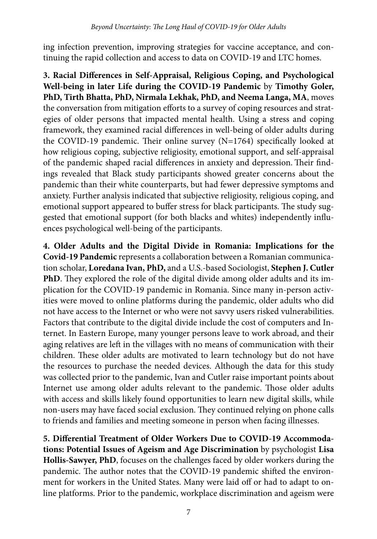ing infection prevention, improving strategies for vaccine acceptance, and continuing the rapid collection and access to data on COVID-19 and LTC homes.

**3. Racial Differences in Self-Appraisal, Religious Coping, and Psychological Well-being in later Life during the COVID-19 Pandemic** by **Timothy Goler, PhD, Tirth Bhatta, PhD, Nirmala Lekhak, PhD, and Neema Langa, MA**, moves the conversation from mitigation efforts to a survey of coping resources and strategies of older persons that impacted mental health. Using a stress and coping framework, they examined racial differences in well-being of older adults during the COVID-19 pandemic. Their online survey (N=1764) specifically looked at how religious coping, subjective religiosity, emotional support, and self-appraisal of the pandemic shaped racial differences in anxiety and depression. Their findings revealed that Black study participants showed greater concerns about the pandemic than their white counterparts, but had fewer depressive symptoms and anxiety. Further analysis indicated that subjective religiosity, religious coping, and emotional support appeared to buffer stress for black participants. The study suggested that emotional support (for both blacks and whites) independently influences psychological well-being of the participants.

**4. Older Adults and the Digital Divide in Romania: Implications for the Covid-19 Pandemic** represents a collaboration between a Romanian communication scholar, **Loredana Ivan, PhD,** and a U.S.-based Sociologist, **Stephen J. Cutler PhD**. They explored the role of the digital divide among older adults and its implication for the COVID-19 pandemic in Romania. Since many in-person activities were moved to online platforms during the pandemic, older adults who did not have access to the Internet or who were not savvy users risked vulnerabilities. Factors that contribute to the digital divide include the cost of computers and Internet. In Eastern Europe, many younger persons leave to work abroad, and their aging relatives are left in the villages with no means of communication with their children. These older adults are motivated to learn technology but do not have the resources to purchase the needed devices. Although the data for this study was collected prior to the pandemic, Ivan and Cutler raise important points about Internet use among older adults relevant to the pandemic. Those older adults with access and skills likely found opportunities to learn new digital skills, while non-users may have faced social exclusion. They continued relying on phone calls to friends and families and meeting someone in person when facing illnesses.

**5. Differential Treatment of Older Workers Due to COVID-19 Accommodations: Potential Issues of Ageism and Age Discrimination** by psychologist **Lisa Hollis-Sawyer, PhD**, focuses on the challenges faced by older workers during the pandemic. The author notes that the COVID-19 pandemic shifted the environment for workers in the United States. Many were laid off or had to adapt to online platforms. Prior to the pandemic, workplace discrimination and ageism were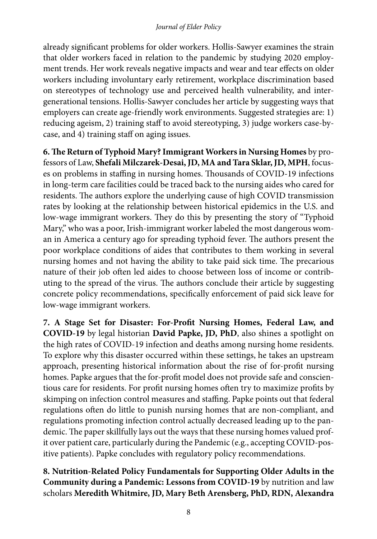already significant problems for older workers. Hollis-Sawyer examines the strain that older workers faced in relation to the pandemic by studying 2020 employment trends. Her work reveals negative impacts and wear and tear effects on older workers including involuntary early retirement, workplace discrimination based on stereotypes of technology use and perceived health vulnerability, and intergenerational tensions. Hollis-Sawyer concludes her article by suggesting ways that employers can create age-friendly work environments. Suggested strategies are: 1) reducing ageism, 2) training staff to avoid stereotyping, 3) judge workers case-bycase, and 4) training staff on aging issues.

**6. The Return of Typhoid Mary? Immigrant Workers in Nursing Homes** by professors of Law, **Shefali Milczarek-Desai, JD, MA and Tara Sklar, JD, MPH**, focuses on problems in staffing in nursing homes. Thousands of COVID-19 infections in long-term care facilities could be traced back to the nursing aides who cared for residents. The authors explore the underlying cause of high COVID transmission rates by looking at the relationship between historical epidemics in the U.S. and low-wage immigrant workers. They do this by presenting the story of "Typhoid Mary," who was a poor, Irish-immigrant worker labeled the most dangerous woman in America a century ago for spreading typhoid fever. The authors present the poor workplace conditions of aides that contributes to them working in several nursing homes and not having the ability to take paid sick time. The precarious nature of their job often led aides to choose between loss of income or contributing to the spread of the virus. The authors conclude their article by suggesting concrete policy recommendations, specifically enforcement of paid sick leave for low-wage immigrant workers.

**7. A Stage Set for Disaster: For-Profit Nursing Homes, Federal Law, and COVID-19** by legal historian **David Papke, JD, PhD**, also shines a spotlight on the high rates of COVID-19 infection and deaths among nursing home residents. To explore why this disaster occurred within these settings, he takes an upstream approach, presenting historical information about the rise of for-profit nursing homes. Papke argues that the for-profit model does not provide safe and conscientious care for residents. For profit nursing homes often try to maximize profits by skimping on infection control measures and staffing. Papke points out that federal regulations often do little to punish nursing homes that are non-compliant, and regulations promoting infection control actually decreased leading up to the pandemic. The paper skillfully lays out the ways that these nursing homes valued profit over patient care, particularly during the Pandemic (e.g., accepting COVID-positive patients). Papke concludes with regulatory policy recommendations.

**8. Nutrition-Related Policy Fundamentals for Supporting Older Adults in the Community during a Pandemic: Lessons from COVID-19** by nutrition and law scholars **Meredith Whitmire, JD, Mary Beth Arensberg, PhD, RDN, Alexandra**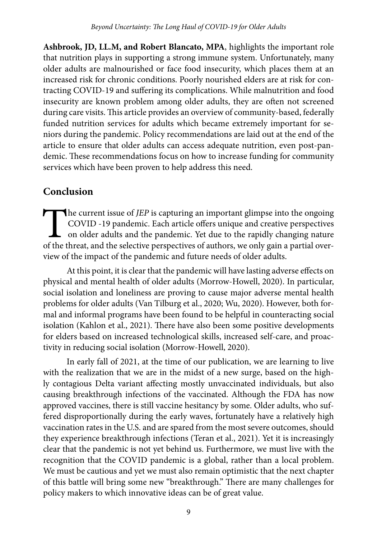**Ashbrook, JD, LL.M, and Robert Blancato, MPA**, highlights the important role that nutrition plays in supporting a strong immune system. Unfortunately, many older adults are malnourished or face food insecurity, which places them at an increased risk for chronic conditions. Poorly nourished elders are at risk for contracting COVID-19 and suffering its complications. While malnutrition and food insecurity are known problem among older adults, they are often not screened during care visits. This article provides an overview of community-based, federally funded nutrition services for adults which became extremely important for seniors during the pandemic. Policy recommendations are laid out at the end of the article to ensure that older adults can access adequate nutrition, even post-pandemic. These recommendations focus on how to increase funding for community services which have been proven to help address this need.

### **Conclusion**

The current issue of *JEP* is capturing an important glimpse into the ongoing COVID -19 pandemic. Each article offers unique and creative perspectives on older adults and the pandemic. Yet due to the rapidly changing natur COVID -19 pandemic. Each article offers unique and creative perspectives on older adults and the pandemic. Yet due to the rapidly changing nature of the threat, and the selective perspectives of authors, we only gain a partial overview of the impact of the pandemic and future needs of older adults.

At this point, it is clear that the pandemic will have lasting adverse effects on physical and mental health of older adults (Morrow-Howell, 2020). In particular, social isolation and loneliness are proving to cause major adverse mental health problems for older adults (Van Tilburg et al., 2020; Wu, 2020). However, both formal and informal programs have been found to be helpful in counteracting social isolation (Kahlon et al., 2021). There have also been some positive developments for elders based on increased technological skills, increased self-care, and proactivity in reducing social isolation (Morrow-Howell, 2020).

In early fall of 2021, at the time of our publication, we are learning to live with the realization that we are in the midst of a new surge, based on the highly contagious Delta variant affecting mostly unvaccinated individuals, but also causing breakthrough infections of the vaccinated. Although the FDA has now approved vaccines, there is still vaccine hesitancy by some. Older adults, who suffered disproportionally during the early waves, fortunately have a relatively high vaccination rates in the U.S. and are spared from the most severe outcomes, should they experience breakthrough infections (Teran et al., 2021). Yet it is increasingly clear that the pandemic is not yet behind us. Furthermore, we must live with the recognition that the COVID pandemic is a global, rather than a local problem. We must be cautious and yet we must also remain optimistic that the next chapter of this battle will bring some new "breakthrough." There are many challenges for policy makers to which innovative ideas can be of great value.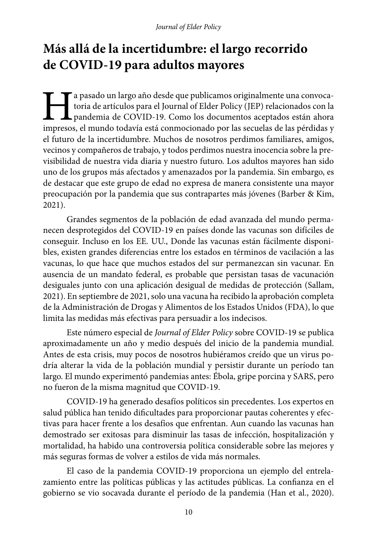# **Más allá de la incertidumbre: el largo recorrido de COVID-19 para adultos mayores**

a pasado un largo año desde que publicamos originalmente una convocatoria de artículos para el Journal of Elder Policy (JEP) relacionados con la pandemia de COVID-19. Como los documentos aceptados están ahora impresos, el toria de artículos para el Journal of Elder Policy (JEP) relacionados con la pandemia de COVID-19. Como los documentos aceptados están ahora impresos, el mundo todavía está conmocionado por las secuelas de las pérdidas y el futuro de la incertidumbre. Muchos de nosotros perdimos familiares, amigos, vecinos y compañeros de trabajo, y todos perdimos nuestra inocencia sobre la previsibilidad de nuestra vida diaria y nuestro futuro. Los adultos mayores han sido uno de los grupos más afectados y amenazados por la pandemia. Sin embargo, es de destacar que este grupo de edad no expresa de manera consistente una mayor preocupación por la pandemia que sus contrapartes más jóvenes (Barber & Kim, 2021).

Grandes segmentos de la población de edad avanzada del mundo permanecen desprotegidos del COVID-19 en países donde las vacunas son difíciles de conseguir. Incluso en los EE. UU., Donde las vacunas están fácilmente disponibles, existen grandes diferencias entre los estados en términos de vacilación a las vacunas, lo que hace que muchos estados del sur permanezcan sin vacunar. En ausencia de un mandato federal, es probable que persistan tasas de vacunación desiguales junto con una aplicación desigual de medidas de protección (Sallam, 2021). En septiembre de 2021, solo una vacuna ha recibido la aprobación completa de la Administración de Drogas y Alimentos de los Estados Unidos (FDA), lo que limita las medidas más efectivas para persuadir a los indecisos.

Este número especial de *Journal of Elder Policy* sobre COVID-19 se publica aproximadamente un año y medio después del inicio de la pandemia mundial. Antes de esta crisis, muy pocos de nosotros hubiéramos creído que un virus podría alterar la vida de la población mundial y persistir durante un período tan largo. El mundo experimentó pandemias antes: Ébola, gripe porcina y SARS, pero no fueron de la misma magnitud que COVID-19.

COVID-19 ha generado desafíos políticos sin precedentes. Los expertos en salud pública han tenido dificultades para proporcionar pautas coherentes y efectivas para hacer frente a los desafíos que enfrentan. Aun cuando las vacunas han demostrado ser exitosas para disminuir las tasas de infección, hospitalización y mortalidad, ha habido una controversia política considerable sobre las mejores y más seguras formas de volver a estilos de vida más normales.

El caso de la pandemia COVID-19 proporciona un ejemplo del entrelazamiento entre las políticas públicas y las actitudes públicas. La confianza en el gobierno se vio socavada durante el período de la pandemia (Han et al., 2020).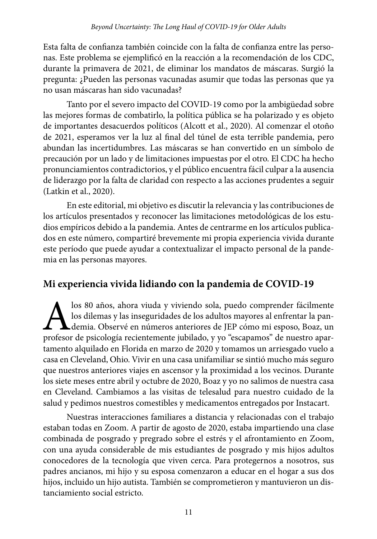Esta falta de confianza también coincide con la falta de confianza entre las personas. Este problema se ejemplificó en la reacción a la recomendación de los CDC, durante la primavera de 2021, de eliminar los mandatos de máscaras. Surgió la pregunta: ¿Pueden las personas vacunadas asumir que todas las personas que ya no usan máscaras han sido vacunadas?

Tanto por el severo impacto del COVID-19 como por la ambigüedad sobre las mejores formas de combatirlo, la política pública se ha polarizado y es objeto de importantes desacuerdos políticos (Alcott et al., 2020). Al comenzar el otoño de 2021, esperamos ver la luz al final del túnel de esta terrible pandemia, pero abundan las incertidumbres. Las máscaras se han convertido en un símbolo de precaución por un lado y de limitaciones impuestas por el otro. El CDC ha hecho pronunciamientos contradictorios, y el público encuentra fácil culpar a la ausencia de liderazgo por la falta de claridad con respecto a las acciones prudentes a seguir (Latkin et al., 2020).

En este editorial, mi objetivo es discutir la relevancia y las contribuciones de los artículos presentados y reconocer las limitaciones metodológicas de los estudios empíricos debido a la pandemia. Antes de centrarme en los artículos publicados en este número, compartiré brevemente mi propia experiencia vivida durante este período que puede ayudar a contextualizar el impacto personal de la pandemia en las personas mayores.

### **Mi experiencia vivida lidiando con la pandemia de COVID-19**

los 80 años, ahora viuda y viviendo sola, puedo comprender fácilmente los dilemas y las inseguridades de los adultos mayores al enfrentar la pandemia. Observé en números anteriores de JEP cómo mi esposo, Boaz, un profesor los dilemas y las inseguridades de los adultos mayores al enfrentar la pandemia. Observé en números anteriores de JEP cómo mi esposo, Boaz, un profesor de psicología recientemente jubilado, y yo "escapamos" de nuestro apartamento alquilado en Florida en marzo de 2020 y tomamos un arriesgado vuelo a casa en Cleveland, Ohio. Vivir en una casa unifamiliar se sintió mucho más seguro que nuestros anteriores viajes en ascensor y la proximidad a los vecinos. Durante los siete meses entre abril y octubre de 2020, Boaz y yo no salimos de nuestra casa en Cleveland. Cambiamos a las visitas de telesalud para nuestro cuidado de la salud y pedimos nuestros comestibles y medicamentos entregados por Instacart.

Nuestras interacciones familiares a distancia y relacionadas con el trabajo estaban todas en Zoom. A partir de agosto de 2020, estaba impartiendo una clase combinada de posgrado y pregrado sobre el estrés y el afrontamiento en Zoom, con una ayuda considerable de mis estudiantes de posgrado y mis hijos adultos conocedores de la tecnología que viven cerca. Para protegernos a nosotros, sus padres ancianos, mi hijo y su esposa comenzaron a educar en el hogar a sus dos hijos, incluido un hijo autista. También se comprometieron y mantuvieron un distanciamiento social estricto.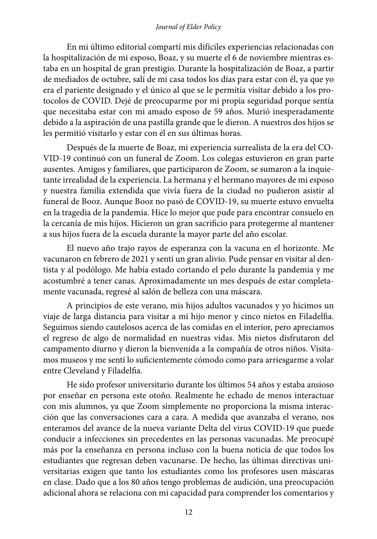En mi último editorial compartí mis difíciles experiencias relacionadas con la hospitalización de mi esposo, Boaz, y su muerte el 6 de noviembre mientras estaba en un hospital de gran prestigio. Durante la hospitalización de Boaz, a partir de mediados de octubre, salí de mi casa todos los días para estar con él, ya que yo era el pariente designado y el único al que se le permitía visitar debido a los protocolos de COVID. Dejé de preocuparme por mi propia seguridad porque sentía que necesitaba estar con mi amado esposo de 59 años. Murió inesperadamente debido a la aspiración de una pastilla grande que le dieron. A nuestros dos hijos se les permitió visitarlo y estar con él en sus últimas horas.

Después de la muerte de Boaz, mi experiencia surrealista de la era del CO-VID-19 continuó con un funeral de Zoom. Los colegas estuvieron en gran parte ausentes. Amigos y familiares, que participaron de Zoom, se sumaron a la inquietante irrealidad de la experiencia. La hermana y el hermano mayores de mi esposo y nuestra familia extendida que vivía fuera de la ciudad no pudieron asistir al funeral de Booz. Aunque Booz no pasó de COVID-19, su muerte estuvo envuelta en la tragedia de la pandemia. Hice lo mejor que pude para encontrar consuelo en la cercanía de mis hijos. Hicieron un gran sacrificio para protegerme al mantener a sus hijos fuera de la escuela durante la mayor parte del año escolar.

El nuevo año trajo rayos de esperanza con la vacuna en el horizonte. Me vacunaron en febrero de 2021 y sentí un gran alivio. Pude pensar en visitar al dentista y al podólogo. Me había estado cortando el pelo durante la pandemia y me acostumbré a tener canas. Aproximadamente un mes después de estar completamente vacunada, regresé al salón de belleza con una máscara.

A principios de este verano, mis hijos adultos vacunados y yo hicimos un viaje de larga distancia para visitar a mi hijo menor y cinco nietos en Filadelfia. Seguimos siendo cautelosos acerca de las comidas en el interior, pero apreciamos el regreso de algo de normalidad en nuestras vidas. Mis nietos disfrutaron del campamento diurno y dieron la bienvenida a la compañía de otros niños. Visitamos museos y me sentí lo suficientemente cómodo como para arriesgarme a volar entre Cleveland y Filadelfia.

He sido profesor universitario durante los últimos 54 años y estaba ansioso por enseñar en persona este otoño. Realmente he echado de menos interactuar con mis alumnos, ya que Zoom simplemente no proporciona la misma interacción que las conversaciones cara a cara. A medida que avanzaba el verano, nos enteramos del avance de la nueva variante Delta del virus COVID-19 que puede conducir a infecciones sin precedentes en las personas vacunadas. Me preocupé más por la enseñanza en persona incluso con la buena noticia de que todos los estudiantes que regresan deben vacunarse. De hecho, las últimas directivas universitarias exigen que tanto los estudiantes como los profesores usen máscaras en clase. Dado que a los 80 años tengo problemas de audición, una preocupación adicional ahora se relaciona con mi capacidad para comprender los comentarios y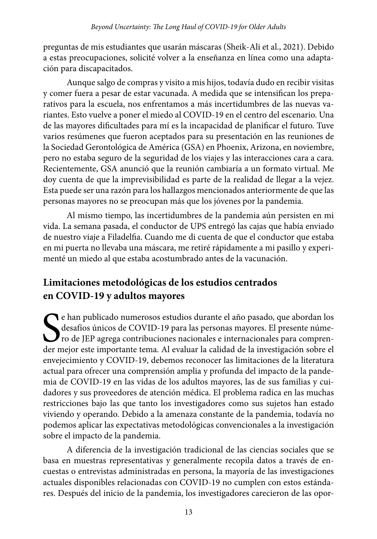preguntas de mis estudiantes que usarán máscaras (Sheik-Ali et al., 2021). Debido a estas preocupaciones, solicité volver a la enseñanza en línea como una adaptación para discapacitados.

Aunque salgo de compras y visito a mis hijos, todavía dudo en recibir visitas y comer fuera a pesar de estar vacunada. A medida que se intensifican los preparativos para la escuela, nos enfrentamos a más incertidumbres de las nuevas variantes. Esto vuelve a poner el miedo al COVID-19 en el centro del escenario. Una de las mayores dificultades para mí es la incapacidad de planificar el futuro. Tuve varios resúmenes que fueron aceptados para su presentación en las reuniones de la Sociedad Gerontológica de América (GSA) en Phoenix, Arizona, en noviembre, pero no estaba seguro de la seguridad de los viajes y las interacciones cara a cara. Recientemente, GSA anunció que la reunión cambiaría a un formato virtual. Me doy cuenta de que la imprevisibilidad es parte de la realidad de llegar a la vejez. Esta puede ser una razón para los hallazgos mencionados anteriormente de que las personas mayores no se preocupan más que los jóvenes por la pandemia.

Al mismo tiempo, las incertidumbres de la pandemia aún persisten en mi vida. La semana pasada, el conductor de UPS entregó las cajas que había enviado de nuestro viaje a Filadelfia. Cuando me di cuenta de que el conductor que estaba en mi puerta no llevaba una máscara, me retiré rápidamente a mi pasillo y experimenté un miedo al que estaba acostumbrado antes de la vacunación.

## **Limitaciones metodológicas de los estudios centrados en COVID-19 y adultos mayores**

Ce han publicado numerosos estudios durante el año pasado, que abordan los desafíos únicos de COVID-19 para las personas mayores. El presente número de JEP agrega contribuciones nacionales e internacionales para comprender desafíos únicos de COVID-19 para las personas mayores. El presente número de JEP agrega contribuciones nacionales e internacionales para comprender mejor este importante tema. Al evaluar la calidad de la investigación sobre el envejecimiento y COVID-19, debemos reconocer las limitaciones de la literatura actual para ofrecer una comprensión amplia y profunda del impacto de la pandemia de COVID-19 en las vidas de los adultos mayores, las de sus familias y cuidadores y sus proveedores de atención médica. El problema radica en las muchas restricciones bajo las que tanto los investigadores como sus sujetos han estado viviendo y operando. Debido a la amenaza constante de la pandemia, todavía no podemos aplicar las expectativas metodológicas convencionales a la investigación sobre el impacto de la pandemia.

A diferencia de la investigación tradicional de las ciencias sociales que se basa en muestras representativas y generalmente recopila datos a través de encuestas o entrevistas administradas en persona, la mayoría de las investigaciones actuales disponibles relacionadas con COVID-19 no cumplen con estos estándares. Después del inicio de la pandemia, los investigadores carecieron de las opor-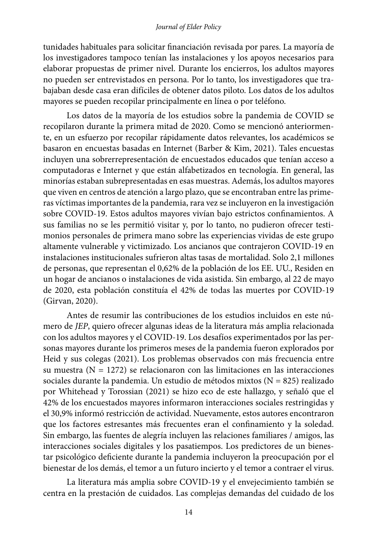tunidades habituales para solicitar financiación revisada por pares. La mayoría de los investigadores tampoco tenían las instalaciones y los apoyos necesarios para elaborar propuestas de primer nivel. Durante los encierros, los adultos mayores no pueden ser entrevistados en persona. Por lo tanto, los investigadores que trabajaban desde casa eran difíciles de obtener datos piloto. Los datos de los adultos mayores se pueden recopilar principalmente en línea o por teléfono.

Los datos de la mayoría de los estudios sobre la pandemia de COVID se recopilaron durante la primera mitad de 2020. Como se mencionó anteriormente, en un esfuerzo por recopilar rápidamente datos relevantes, los académicos se basaron en encuestas basadas en Internet (Barber & Kim, 2021). Tales encuestas incluyen una sobrerrepresentación de encuestados educados que tenían acceso a computadoras e Internet y que están alfabetizados en tecnología. En general, las minorías estaban subrepresentadas en esas muestras. Además, los adultos mayores que viven en centros de atención a largo plazo, que se encontraban entre las primeras víctimas importantes de la pandemia, rara vez se incluyeron en la investigación sobre COVID-19. Estos adultos mayores vivían bajo estrictos confinamientos. A sus familias no se les permitió visitar y, por lo tanto, no pudieron ofrecer testimonios personales de primera mano sobre las experiencias vividas de este grupo altamente vulnerable y victimizado. Los ancianos que contrajeron COVID-19 en instalaciones institucionales sufrieron altas tasas de mortalidad. Solo 2,1 millones de personas, que representan el 0,62% de la población de los EE. UU., Residen en un hogar de ancianos o instalaciones de vida asistida. Sin embargo, al 22 de mayo de 2020, esta población constituía el 42% de todas las muertes por COVID-19 (Girvan, 2020).

Antes de resumir las contribuciones de los estudios incluidos en este número de *JEP*, quiero ofrecer algunas ideas de la literatura más amplia relacionada con los adultos mayores y el COVID-19. Los desafíos experimentados por las personas mayores durante los primeros meses de la pandemia fueron explorados por Heid y sus colegas (2021). Los problemas observados con más frecuencia entre su muestra ( $N = 1272$ ) se relacionaron con las limitaciones en las interacciones sociales durante la pandemia. Un estudio de métodos mixtos ( $N = 825$ ) realizado por Whitehead y Torossian (2021) se hizo eco de este hallazgo, y señaló que el 42% de los encuestados mayores informaron interacciones sociales restringidas y el 30,9% informó restricción de actividad. Nuevamente, estos autores encontraron que los factores estresantes más frecuentes eran el confinamiento y la soledad. Sin embargo, las fuentes de alegría incluyen las relaciones familiares / amigos, las interacciones sociales digitales y los pasatiempos. Los predictores de un bienestar psicológico deficiente durante la pandemia incluyeron la preocupación por el bienestar de los demás, el temor a un futuro incierto y el temor a contraer el virus.

La literatura más amplia sobre COVID-19 y el envejecimiento también se centra en la prestación de cuidados. Las complejas demandas del cuidado de los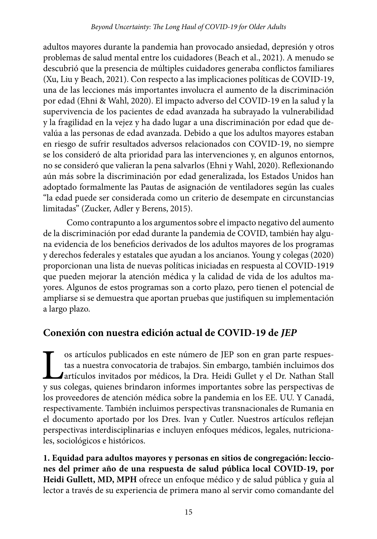adultos mayores durante la pandemia han provocado ansiedad, depresión y otros problemas de salud mental entre los cuidadores (Beach et al., 2021). A menudo se descubrió que la presencia de múltiples cuidadores generaba conflictos familiares (Xu, Liu y Beach, 2021). Con respecto a las implicaciones políticas de COVID-19, una de las lecciones más importantes involucra el aumento de la discriminación por edad (Ehni & Wahl, 2020). El impacto adverso del COVID-19 en la salud y la supervivencia de los pacientes de edad avanzada ha subrayado la vulnerabilidad y la fragilidad en la vejez y ha dado lugar a una discriminación por edad que devalúa a las personas de edad avanzada. Debido a que los adultos mayores estaban en riesgo de sufrir resultados adversos relacionados con COVID-19, no siempre se los consideró de alta prioridad para las intervenciones y, en algunos entornos, no se consideró que valieran la pena salvarlos (Ehni y Wahl, 2020). Reflexionando aún más sobre la discriminación por edad generalizada, los Estados Unidos han adoptado formalmente las Pautas de asignación de ventiladores según las cuales "la edad puede ser considerada como un criterio de desempate en circunstancias limitadas" (Zucker, Adler y Berens, 2015).

Como contrapunto a los argumentos sobre el impacto negativo del aumento de la discriminación por edad durante la pandemia de COVID, también hay alguna evidencia de los beneficios derivados de los adultos mayores de los programas y derechos federales y estatales que ayudan a los ancianos. Young y colegas (2020) proporcionan una lista de nuevas políticas iniciadas en respuesta al COVID-1919 que pueden mejorar la atención médica y la calidad de vida de los adultos mayores. Algunos de estos programas son a corto plazo, pero tienen el potencial de ampliarse si se demuestra que aportan pruebas que justifiquen su implementación a largo plazo.

### **Conexión con nuestra edición actual de COVID-19 de** *JEP*

os artículos publicados en este número de JEP son en gran parte respuestas a nuestra convocatoria de trabajos. Sin embargo, también incluimos dos artículos invitados por médicos, la Dra. Heidi Gullet y el Dr. Nathan Stall y sus colegas, quienes brindaron informes importantes sobre las perspectivas de los proveedores de atención médica sobre la pandemia en los EE. UU. Y Canadá, respectivamente. También incluimos perspectivas transnacionales de Rumania en el documento aportado por los Dres. Ivan y Cutler. Nuestros artículos reflejan perspectivas interdisciplinarias e incluyen enfoques médicos, legales, nutricionales, sociológicos e históricos.

**1. Equidad para adultos mayores y personas en sitios de congregación: lecciones del primer año de una respuesta de salud pública local COVID-19, por Heidi Gullett, MD, MPH** ofrece un enfoque médico y de salud pública y guía al lector a través de su experiencia de primera mano al servir como comandante del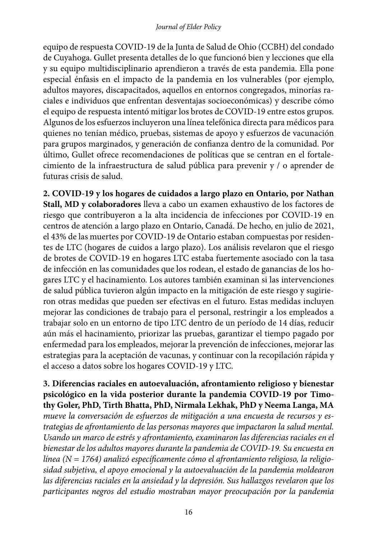equipo de respuesta COVID-19 de la Junta de Salud de Ohio (CCBH) del condado de Cuyahoga. Gullet presenta detalles de lo que funcionó bien y lecciones que ella y su equipo multidisciplinario aprendieron a través de esta pandemia. Ella pone especial énfasis en el impacto de la pandemia en los vulnerables (por ejemplo, adultos mayores, discapacitados, aquellos en entornos congregados, minorías raciales e individuos que enfrentan desventajas socioeconómicas) y describe cómo el equipo de respuesta intentó mitigar los brotes de COVID-19 entre estos grupos. Algunos de los esfuerzos incluyeron una línea telefónica directa para médicos para quienes no tenían médico, pruebas, sistemas de apoyo y esfuerzos de vacunación para grupos marginados, y generación de confianza dentro de la comunidad. Por último, Gullet ofrece recomendaciones de políticas que se centran en el fortalecimiento de la infraestructura de salud pública para prevenir y / o aprender de futuras crisis de salud.

**2. COVID-19 y los hogares de cuidados a largo plazo en Ontario, por Nathan Stall, MD y colaboradores** lleva a cabo un examen exhaustivo de los factores de riesgo que contribuyeron a la alta incidencia de infecciones por COVID-19 en centros de atención a largo plazo en Ontario, Canadá. De hecho, en julio de 2021, el 43% de las muertes por COVID-19 de Ontario estaban compuestas por residentes de LTC (hogares de cuidos a largo plazo). Los análisis revelaron que el riesgo de brotes de COVID-19 en hogares LTC estaba fuertemente asociado con la tasa de infección en las comunidades que los rodean, el estado de ganancias de los hogares LTC y el hacinamiento. Los autores también examinan si las intervenciones de salud pública tuvieron algún impacto en la mitigación de este riesgo y sugirieron otras medidas que pueden ser efectivas en el futuro. Estas medidas incluyen mejorar las condiciones de trabajo para el personal, restringir a los empleados a trabajar solo en un entorno de tipo LTC dentro de un período de 14 días, reducir aún más el hacinamiento, priorizar las pruebas, garantizar el tiempo pagado por enfermedad para los empleados, mejorar la prevención de infecciones, mejorar las estrategias para la aceptación de vacunas, y continuar con la recopilación rápida y el acceso a datos sobre los hogares COVID-19 y LTC.

**3. Diferencias raciales en autoevaluación, afrontamiento religioso y bienestar psicológico en la vida posterior durante la pandemia COVID-19 por Timothy Goler, PhD, Tirth Bhatta, PhD, Nirmala Lekhak, PhD y Neema Langa, MA**  *mueve la conversación de esfuerzos de mitigación a una encuesta de recursos y estrategias de afrontamiento de las personas mayores que impactaron la salud mental. Usando un marco de estrés y afrontamiento, examinaron las diferencias raciales en el bienestar de los adultos mayores durante la pandemia de COVID-19. Su encuesta en línea (N = 1764) analizó específicamente cómo el afrontamiento religioso, la religiosidad subjetiva, el apoyo emocional y la autoevaluación de la pandemia moldearon las diferencias raciales en la ansiedad y la depresión. Sus hallazgos revelaron que los participantes negros del estudio mostraban mayor preocupación por la pandemia*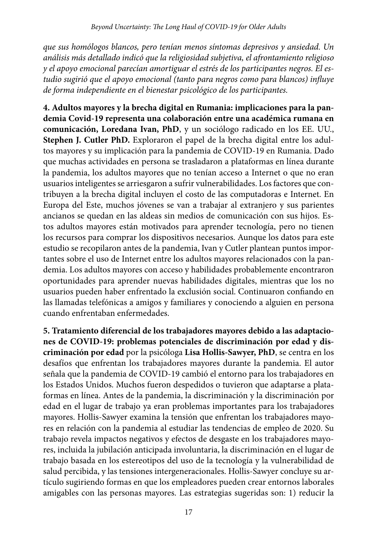*que sus homólogos blancos, pero tenían menos síntomas depresivos y ansiedad. Un análisis más detallado indicó que la religiosidad subjetiva, el afrontamiento religioso y el apoyo emocional parecían amortiguar el estrés de los participantes negros. El estudio sugirió que el apoyo emocional (tanto para negros como para blancos) influye de forma independiente en el bienestar psicológico de los participantes.* 

**4. Adultos mayores y la brecha digital en Rumania: implicaciones para la pandemia Covid-19 representa una colaboración entre una académica rumana en comunicación, Loredana Ivan, PhD**, y un sociólogo radicado en los EE. UU., **Stephen J. Cutler PhD.** Exploraron el papel de la brecha digital entre los adultos mayores y su implicación para la pandemia de COVID-19 en Rumania. Dado que muchas actividades en persona se trasladaron a plataformas en línea durante la pandemia, los adultos mayores que no tenían acceso a Internet o que no eran usuarios inteligentes se arriesgaron a sufrir vulnerabilidades. Los factores que contribuyen a la brecha digital incluyen el costo de las computadoras e Internet. En Europa del Este, muchos jóvenes se van a trabajar al extranjero y sus parientes ancianos se quedan en las aldeas sin medios de comunicación con sus hijos. Estos adultos mayores están motivados para aprender tecnología, pero no tienen los recursos para comprar los dispositivos necesarios. Aunque los datos para este estudio se recopilaron antes de la pandemia, Ivan y Cutler plantean puntos importantes sobre el uso de Internet entre los adultos mayores relacionados con la pandemia. Los adultos mayores con acceso y habilidades probablemente encontraron oportunidades para aprender nuevas habilidades digitales, mientras que los no usuarios pueden haber enfrentado la exclusión social. Continuaron confiando en las llamadas telefónicas a amigos y familiares y conociendo a alguien en persona cuando enfrentaban enfermedades.

**5. Tratamiento diferencial de los trabajadores mayores debido a las adaptaciones de COVID-19: problemas potenciales de discriminación por edad y discriminación por edad** por la psicóloga **Lisa Hollis-Sawyer, PhD**, se centra en los desafíos que enfrentan los trabajadores mayores durante la pandemia. El autor señala que la pandemia de COVID-19 cambió el entorno para los trabajadores en los Estados Unidos. Muchos fueron despedidos o tuvieron que adaptarse a plataformas en línea. Antes de la pandemia, la discriminación y la discriminación por edad en el lugar de trabajo ya eran problemas importantes para los trabajadores mayores. Hollis-Sawyer examina la tensión que enfrentan los trabajadores mayores en relación con la pandemia al estudiar las tendencias de empleo de 2020. Su trabajo revela impactos negativos y efectos de desgaste en los trabajadores mayores, incluida la jubilación anticipada involuntaria, la discriminación en el lugar de trabajo basada en los estereotipos del uso de la tecnología y la vulnerabilidad de salud percibida, y las tensiones intergeneracionales. Hollis-Sawyer concluye su artículo sugiriendo formas en que los empleadores pueden crear entornos laborales amigables con las personas mayores. Las estrategias sugeridas son: 1) reducir la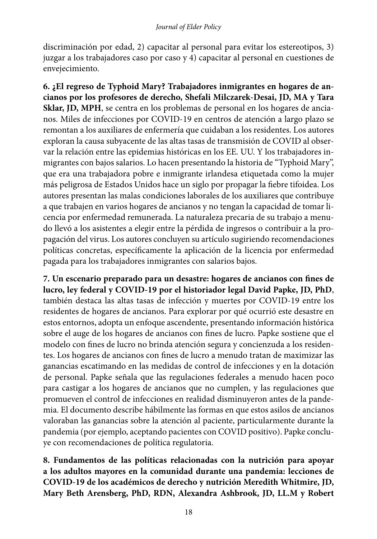discriminación por edad, 2) capacitar al personal para evitar los estereotipos, 3) juzgar a los trabajadores caso por caso y 4) capacitar al personal en cuestiones de envejecimiento.

**6. ¿El regreso de Typhoid Mary? Trabajadores inmigrantes en hogares de ancianos por los profesores de derecho, Shefali Milczarek-Desai, JD, MA y Tara Sklar, JD, MPH**, se centra en los problemas de personal en los hogares de ancianos. Miles de infecciones por COVID-19 en centros de atención a largo plazo se remontan a los auxiliares de enfermería que cuidaban a los residentes. Los autores exploran la causa subyacente de las altas tasas de transmisión de COVID al observar la relación entre las epidemias históricas en los EE. UU. Y los trabajadores inmigrantes con bajos salarios. Lo hacen presentando la historia de "Typhoid Mary", que era una trabajadora pobre e inmigrante irlandesa etiquetada como la mujer más peligrosa de Estados Unidos hace un siglo por propagar la fiebre tifoidea. Los autores presentan las malas condiciones laborales de los auxiliares que contribuye a que trabajen en varios hogares de ancianos y no tengan la capacidad de tomar licencia por enfermedad remunerada. La naturaleza precaria de su trabajo a menudo llevó a los asistentes a elegir entre la pérdida de ingresos o contribuir a la propagación del virus. Los autores concluyen su artículo sugiriendo recomendaciones políticas concretas, específicamente la aplicación de la licencia por enfermedad pagada para los trabajadores inmigrantes con salarios bajos.

**7. Un escenario preparado para un desastre: hogares de ancianos con fines de lucro, ley federal y COVID-19 por el historiador legal David Papke, JD, PhD**, también destaca las altas tasas de infección y muertes por COVID-19 entre los residentes de hogares de ancianos. Para explorar por qué ocurrió este desastre en estos entornos, adopta un enfoque ascendente, presentando información histórica sobre el auge de los hogares de ancianos con fines de lucro. Papke sostiene que el modelo con fines de lucro no brinda atención segura y concienzuda a los residentes. Los hogares de ancianos con fines de lucro a menudo tratan de maximizar las ganancias escatimando en las medidas de control de infecciones y en la dotación de personal. Papke señala que las regulaciones federales a menudo hacen poco para castigar a los hogares de ancianos que no cumplen, y las regulaciones que promueven el control de infecciones en realidad disminuyeron antes de la pandemia. El documento describe hábilmente las formas en que estos asilos de ancianos valoraban las ganancias sobre la atención al paciente, particularmente durante la pandemia (por ejemplo, aceptando pacientes con COVID positivo). Papke concluye con recomendaciones de política regulatoria.

**8. Fundamentos de las políticas relacionadas con la nutrición para apoyar a los adultos mayores en la comunidad durante una pandemia: lecciones de COVID-19 de los académicos de derecho y nutrición Meredith Whitmire, JD, Mary Beth Arensberg, PhD, RDN, Alexandra Ashbrook, JD, LL.M y Robert**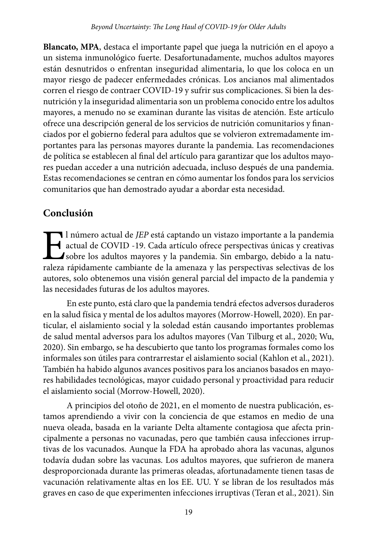**Blancato, MPA**, destaca el importante papel que juega la nutrición en el apoyo a un sistema inmunológico fuerte. Desafortunadamente, muchos adultos mayores están desnutridos o enfrentan inseguridad alimentaria, lo que los coloca en un mayor riesgo de padecer enfermedades crónicas. Los ancianos mal alimentados corren el riesgo de contraer COVID-19 y sufrir sus complicaciones. Si bien la desnutrición y la inseguridad alimentaria son un problema conocido entre los adultos mayores, a menudo no se examinan durante las visitas de atención. Este artículo ofrece una descripción general de los servicios de nutrición comunitarios y financiados por el gobierno federal para adultos que se volvieron extremadamente importantes para las personas mayores durante la pandemia. Las recomendaciones de política se establecen al final del artículo para garantizar que los adultos mayores puedan acceder a una nutrición adecuada, incluso después de una pandemia. Estas recomendaciones se centran en cómo aumentar los fondos para los servicios comunitarios que han demostrado ayudar a abordar esta necesidad.

### **Conclusión**

I número actual de *JEP* está captando un vistazo importante a la pandemia<br>actual de COVID -19. Cada artículo ofrece perspectivas únicas y creativas<br>sobre los adultos mayores y la pandemia. Sin embargo, debido a la natural actual de COVID -19. Cada artículo ofrece perspectivas únicas y creativas sobre los adultos mayores y la pandemia. Sin embargo, debido a la naturaleza rápidamente cambiante de la amenaza y las perspectivas selectivas de los autores, solo obtenemos una visión general parcial del impacto de la pandemia y las necesidades futuras de los adultos mayores.

En este punto, está claro que la pandemia tendrá efectos adversos duraderos en la salud física y mental de los adultos mayores (Morrow-Howell, 2020). En particular, el aislamiento social y la soledad están causando importantes problemas de salud mental adversos para los adultos mayores (Van Tilburg et al., 2020; Wu, 2020). Sin embargo, se ha descubierto que tanto los programas formales como los informales son útiles para contrarrestar el aislamiento social (Kahlon et al., 2021). También ha habido algunos avances positivos para los ancianos basados en mayores habilidades tecnológicas, mayor cuidado personal y proactividad para reducir el aislamiento social (Morrow-Howell, 2020).

A principios del otoño de 2021, en el momento de nuestra publicación, estamos aprendiendo a vivir con la conciencia de que estamos en medio de una nueva oleada, basada en la variante Delta altamente contagiosa que afecta principalmente a personas no vacunadas, pero que también causa infecciones irruptivas de los vacunados. Aunque la FDA ha aprobado ahora las vacunas, algunos todavía dudan sobre las vacunas. Los adultos mayores, que sufrieron de manera desproporcionada durante las primeras oleadas, afortunadamente tienen tasas de vacunación relativamente altas en los EE. UU. Y se libran de los resultados más graves en caso de que experimenten infecciones irruptivas (Teran et al., 2021). Sin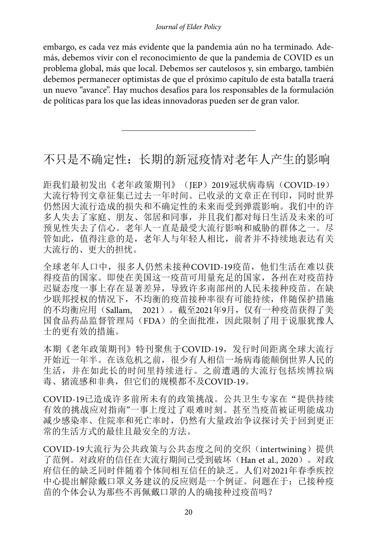embargo, es cada vez más evidente que la pandemia aún no ha terminado. Además, debemos vivir con el reconocimiento de que la pandemia de COVID es un problema global, más que local. Debemos ser cautelosos y, sin embargo, también debemos permanecer optimistas de que el próximo capítulo de esta batalla traerá un nuevo "avance". Hay muchos desafíos para los responsables de la formulación de políticas para los que las ideas innovadoras pueden ser de gran valor.

# 不只是不确定性:长期的新冠疫情对老年人产生的影响

距我们最初发出《老年政策期刊》(JEP) 2019冠状病毒病(COVID-19) 大流行特刊文章征集已过去一年时间。已收录的文章正在刊印,同时世界 仍然因大流行造成的损失和不确定性的未来而受到弹震影响。我们中的许 多人失去了家庭、朋友、邻居和同事,并且我们都对每日生活及未来的可 预见性失去了信心。老年人一直是最受大流行影响和威胁的群体之一。尽 管如此,值得注意的是,老年人与年轻人相比,前者并不持续地表达有关 大流行的、更大的担忧。

全球老年人口中,很多人仍然未接种COVID-19疫苗,他们生活在难以获 得疫苗的国家。即使在美国这一疫苗可用量充足的国家,各州在对疫苗持 迟疑态度一事上存在显著差异,导致许多南部州的人民未接种疫苗。在缺 少联邦授权的情况下,不均衡的疫苗接种率很有可能持续,伴随保护措施 的不均衡应用(Sallam, 2021)。截至2021年9月,仅有一种疫苗获得了美 国食品药品监督管理局(FDA)的全面批准,因此限制了用于说服犹豫人 士的更有效的措施。

本期《老年政策期刊》特刊聚焦于COVID-19,发行时间距离全球大流行 开始近一年半。在该危机之前,很少有人相信一场病毒能颠倒世界人民的 生活,并在如此长的时间里持续进行。之前遭遇的大流行包括埃博拉病 毒、猪流感和非典,但它们的规模都不及COVID-19。

COVID-19已造成许多前所未有的政策挑战。公共卫生专家在"提供持续 有效的挑战应对指南"一事上度过了艰难时刻。甚至当疫苗被证明能成功 减少感染率、住院率和死亡率时,仍然有大量政治争议探讨关于回到更正 常的生活方式的最佳且最安全的方法。

COVID-19大流行为公共政策与公共态度之间的交织(intertwining)提供 了范例。对政府的信任在大流行期间已受到破坏(Han et al., 2020)。对政 府信任的缺乏同时伴随着个体间相互信任的缺乏。人们对2021年春季疾控 中心提出解除戴口罩义务建议的反应则是一个例证。问题在于:已接种疫 苗的个体会认为那些不再佩戴口罩的人的确接种过疫苗吗?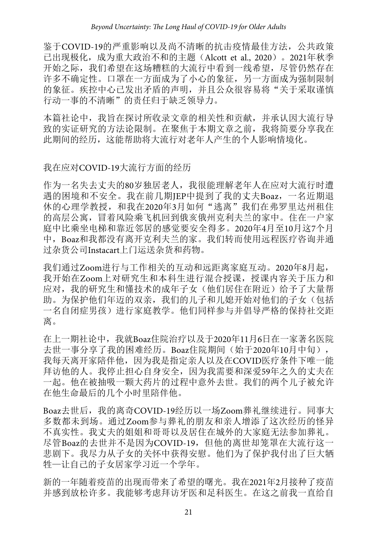鉴于COVID-19的严重影响以及尚不清晰的抗击疫情最佳方法,公共政策 已出现极化,成为重大政治不和的主题(Alcott et al., 2020)。2021年秋季 开始之际,我们希望在这场糟糕的大流行中看到一线希望,尽管仍然存在 许多不确定性。口罩在一方面成为了小心的象征,另一方面成为强制限制 的象征。疾控中心已发出矛盾的声明,并且公众很容易将"关于采取谨慎 行动一事的不清晰"的责任归于缺乏领导力。

本篇社论中,我旨在探讨所收录文章的相关性和贡献,并承认因大流行导 致的实证研究的方法论限制。在聚焦于本期文章之前,我将简要分享我在 此期间的经历,这能帮助将大流行对老年人产生的个人影响情境化。

### 我在应对COVID-19大流行方面的经历

作为一名失去丈夫的80岁独居老人,我很能理解老年人在应对大流行时遭 遇的困境和不安全。我在前几期JEP中提到了我的丈夫Boaz,一名近期退 休的心理学教授,和我在2020年3月如何"逃离"我们在弗罗里达州租住 的高层公寓,冒着风险乘飞机回到俄亥俄州克利夫兰的家中。住在一户家 庭中比乘坐电梯和靠近邻居的感觉要安全得多。2020年4月至10月这7个月 中,Boaz和我都没有离开克利夫兰的家。我们转而使用远程医疗咨询并通 过杂货公司Instacart上门运送杂货和药物。

我们通过Zoom进行与工作相关的互动和远距离家庭互动。2020年8月起, 我开始在Zoom上对研究生和本科生进行混合授课,授课内容关于压力和 应对,我的研究生和懂技术的成年子女(他们居住在附近)给予了大量帮 助。为保护他们年迈的双亲,我们的儿子和儿媳开始对他们的子女(包括 一名自闭症男孩)进行家庭教学。他们同样参与并倡导严格的保持社交距 离。

在上一期社论中,我就Boaz住院治疗以及于2020年11月6日在一家著名医院 去世一事分享了我的困难经历。Boaz住院期间(始于2020年10月中旬), 我每天离开家陪伴他,因为我是指定亲人以及在COVID医疗条件下唯一能 拜访他的人。我停止担心自身安全,因为我需要和深爱59年之久的丈夫在 一起。他在被抽吸一颗大药片的过程中意外去世。我们的两个儿子被允许 在他生命最后的几个小时里陪伴他。

Boaz去世后,我的离奇COVID-19经历以一场Zoom葬礼继续进行。同事大 多数都未到场。通过Zoom参与葬礼的朋友和亲人增添了这次经历的怪异 不真实性。我丈夫的姐姐和哥哥以及居住在城外的大家庭无法参加葬礼。 尽管Boaz的去世并不是因为COVID-19, 但他的离世却笼罩在大流行这一 悲剧下。我尽力从子女的关怀中获得安慰。他们为了保护我付出了巨大牺 牲—让自己的子女居家学习近一个学年。

新的一年随着疫苗的出现而带来了希望的曙光。我在2021年2月接种了疫苗 并感到放松许多。我能够考虑拜访牙医和足科医生。在这之前我一直给自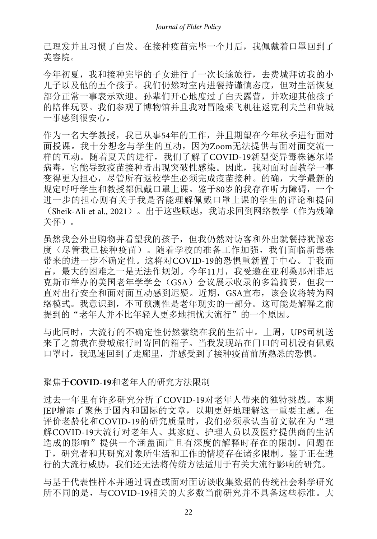己理发并且习惯了白发。在接种疫苗完毕一个月后,我佩戴着口罩回到了 美容院。

今年初夏,我和接种完毕的子女进行了一次长途旅行,去费城拜访我的小 儿子以及他的五个孩子。我们仍然对室内进餐持谨慎态度,但对生活恢复 部分正常一事表示欢迎。孙辈们开心地度过了白天露营,并欢迎其他孩子 的陪伴玩耍。我们参观了博物馆并且我对冒险乘飞机往返克利夫兰和费城 一事感到很安心。

作为一名大学教授,我已从事54年的工作,并且期望在今年秋季进行面对 面授课。我十分想念与学生的互动,因为Zoom无法提供与面对面交流一 样的互动。随着夏天的进行,我们了解了COVID-19新型变异毒株德尔塔 病毒,它能导致疫苗接种者出现突破性感染。因此,我对面对面教学一事 变得更为担心,尽管所有返校学生必须完成疫苗接种。的确,大学最新的 规定呼吁学生和教授都佩戴口罩上课。鉴于80岁的我存在听力障碍,一个 进一步的担心则有关于我是否能理解佩戴口罩上课的学生的评论和提问 (Sheik-Ali et al., 2021)。出于这些顾虑,我请求回到网络教学(作为残障 关怀)。

虽然我会外出购物并看望我的孩子,但我仍然对访客和外出就餐持犹豫态 度(尽管我已接种疫苗)。随着学校的准备工作加强,我们面临新毒株 带来的进一步不确定性。这将对COVID-19的恐惧重新置于中心。于我而 言,最大的困难之一是无法作规划。今年11月,我受邀在亚利桑那州菲尼 克斯市举办的美国老年学学会(GSA)会议展示收录的多篇摘要,但我一 直对出行安全和面对面互动感到迟疑。近期,GSA宣布,该会议将转为网 络模式。我意识到,不可预测性是老年现实的一部分。这可能是解释之前 提到的"老年人并不比年轻人更多地担忧大流行"的一个原因。

与此同时,大流行的不确定性仍然萦绕在我的生活中。上周,UPS司机送 来了之前我在费城旅行时寄回的箱子。当我发现站在门口的司机没有佩戴 口罩时,我迅速回到了走廊里,并感受到了接种疫苗前所熟悉的恐惧。

#### 聚焦于**COVID-19**和老年人的研究方法限制

过去一年里有许多研究分析了COVID-19对老年人带来的独特挑战。本期 JEP增添了聚焦于国内和国际的文章,以期更好地理解这一重要主题。在 评价老龄化和COVID-19的研究质量时, 我们必须承认当前文献在为"理 解COVID-19大流行对老年人、其家庭、护理人员以及医疗提供商的生活 造成的影响"提供一个涵盖面广且有深度的解释时存在的限制。问题在 于,研究者和其研究对象所生活和工作的情境存在诸多限制。鉴于正在进 行的大流行威胁,我们还无法将传统方法适用于有关大流行影响的研究。

与基于代表性样本并通过调查或面对面访谈收集数据的传统社会科学研究 所不同的是,与COVID-19相关的大多数当前研究并不具备这些标准。大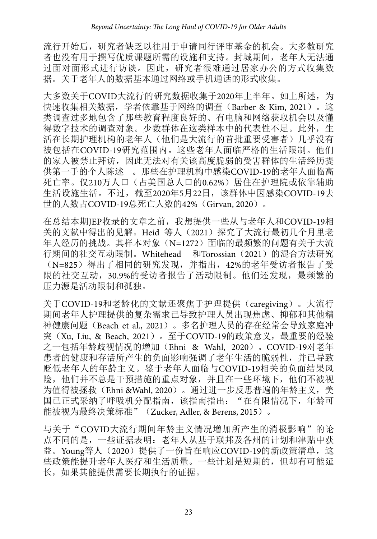流行开始后,研究者缺乏以往用于申请同行评审基金的机会。大多数研究 者也没有用于撰写优质课题所需的设施和支持。封城期间,老年人无法通 过面对面形式进行访谈。因此,研究者很难通过居家办公的方式收集数 据。关于老年人的数据基本通过网络或手机通话的形式收集。

大多数关于COVID大流行的研究数据收集于2020年上半年。如上所述,为 快速收集相关数据,学者依靠基于网络的调查(Barber & Kim, 2021)。这 类调查过多地包含了那些教育程度良好的、有电脑和网络获取机会以及懂 得数字技术的调查对象。少数群体在这类样本中的代表性不足。此外,生 活在长期护理机构的老年人(他们是大流行的首批重要受害者)几乎没有 被包括在COVID-19研究范围内。这些老年人面临严格的生活限制。他们 的家人被禁止拜访,因此无法对有关该高度脆弱的受害群体的生活经历提 供第一手的个人陈述 。那些在护理机构中感染COVID-19的老年人面临高 死亡率。仅210万人口(占美国总人口的0.62%)居住在护理院或依靠辅助 生活设施生活。不过, 截至2020年5月22日, 该群体中因感染COVID-19去 世的人数占COVID-19总死亡人数的42%(Girvan, 2020)。

在总结本期JEP收录的文章之前,我想提供一些从与老年人和COVID-19相 关的文献中得出的见解。Heid 等人(2021)探究了大流行最初几个月里老 年人经历的挑战。其样本对象(N=1272)面临的最频繁的问题有关于大流 行期间的社交互动限制。Whitehead 和Torossian (2021) 的混合方法研究 (N=825)得出了相同的研究发现,并指出,42%的老年受访者报告了受 限的社交互动,30.9%的受访者报告了活动限制。他们还发现,最频繁的 压力源是活动限制和孤独。

关于COVID-19和老龄化的文献还聚焦于护理提供(caregiving)。大流行 期间老年人护理提供的复杂需求已导致护理人员出现焦虑、抑郁和其他精 神健康问题(Beach et al., 2021)。多名护理人员的存在经常会导致家庭冲 突(Xu, Liu, & Beach, 2021)。至于COVID-19的政策意义,最重要的经验 之一包括年龄歧视情况的增加(Ehni & Wahl, 2020)。COVID-19对老年 患者的健康和存活所产生的负面影响强调了老年生活的脆弱性,并已导致 贬低老年人的年龄主义。鉴于老年人面临与COVID-19相关的负面结果风 险,他们并不总是干预措施的重点对象,并且在一些环境下,他们不被视 为值得被拯救(Ehni &Wahl, 2020)。通过进一步反思普遍的年龄主义,美 国已正式采纳了呼吸机分配指南,该指南指出: "在有限情况下,年龄可 能被视为最终决策标准"(Zucker, Adler, & Berens, 2015)。

与关于"COVID大流行期间年龄主义情况增加所产生的消极影响"的论 点不同的是,一些证据表明:老年人从基于联邦及各州的计划和津贴中获 益。Young等人(2020)提供了一份旨在响应COVID-19的新政策清单,这 些政策能提升老年人医疗和生活质量。一些计划是短期的,但却有可能延 长,如果其能提供需要长期执行的证据。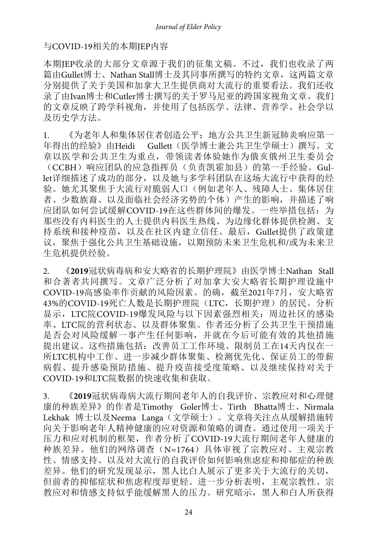#### 与COVID-19相关的本期JEP内容

本期JEP收录的大部分文章源于我们的征集文稿。不过,我们也收录了两 篇由Gullet博士、Nathan Stall博士及其同事所撰写的特约文章,这两篇文章 分别提供了关于美国和加拿大卫生提供商对大流行的重要看法。我们还收 录了由Ivan博士和Cutler博士撰写的关于罗马尼亚的跨国家视角文章。我们 的文章反映了跨学科视角,并使用了包括医学、法律、营养学、社会学以 及历史学方法。

1. 《为老年人和集体居住者创造公平:地方公共卫生新冠肺炎响应第一 年得出的经验》由Heidi Gullett(医学博士兼公共卫生学硕士)撰写。文 章以医学和公共卫生为重点,带领读者体验她作为俄亥俄州卫生委员会 (CCBH)响应团队的应急指挥员(负责凯霍加县)的第一手经验。Gullet详细描述了成功的部分,以及她与多学科团队在这场大流行中获得的经 验。她尤其聚焦于大流行对脆弱人口(例如老年人、残障人士、集体居住 者、少数族裔、以及面临社会经济劣势的个体)产生的影响,并描述了响 应团队如何尝试缓解COVID-19在这些群体间的爆发。一些举措包括: 为 那些没有内科医生的人士提供内科医生热线、为边缘化群体提供检测、支 持系统和接种疫苗,以及在社区内建立信任。最后,Gullet提供了政策建 议,聚焦于强化公共卫生基础设施,以期预防未来卫生危机和/或为未来卫 生危机提供经验。

2. 《**2019**冠状病毒病和安大略省的长期护理院》由医学博士Nathan Stall 和合著者共同撰写。文章广泛分析了对加拿大安大略省长期护理设施中 COVID-19高感染率作贡献的风险因素。的确,截至2021年7月,安大略省 43%的COVID-19死亡人数是长期护理院 (LTC, 长期护理)的居民。分析 显示, LTC院COVID-19爆发风险与以下因素强烈相关: 周边社区的感染 率、LTC院的营利状态、以及群体聚集。作者还分析了公共卫生干预措施 是否会对风险缓解一事产生任何影响,并就在今后可能有效的其他措施 提出建议。这些措施包括:改善员工工作环境、限制员工在14天内仅在一 所LTC机构中工作、进一步减少群体聚集、检测优先化、保证员工的带薪 病假、提升感染预防措施、提升疫苗接受度策略、以及继续保持对关于 COVID-19和LTC院数据的快速收集和获取。

3. 《**2019**冠状病毒病大流行期间老年人的自我评价、宗教应对和心理健 康的种族差异》的作者是Timothy Goler博士、Tirth Bhatta博士、Nirmala Lekhak 博士以及Neema Langa(文学硕士)。文章将关注点从缓解措施转 向关于影响老年人精神健康的应对资源和策略的调查。通过使用一项关于 压力和应对机制的框架,作者分析了COVID-19大流行期间老年人健康的 种族差异。他们的网络调查(N=1764)具体审视了宗教应对、主观宗教 性、情感支持、以及对大流行的自我评价如何影响焦虑症和抑郁症的种族 差异。他们的研究发现显示,黑人比白人展示了更多关于大流行的关切, 但前者的抑郁症状和焦虑程度却更轻。进一步分析表明,主观宗教性、宗 教应对和情感支持似乎能缓解黑人的压力。研究暗示,黑人和白人所获得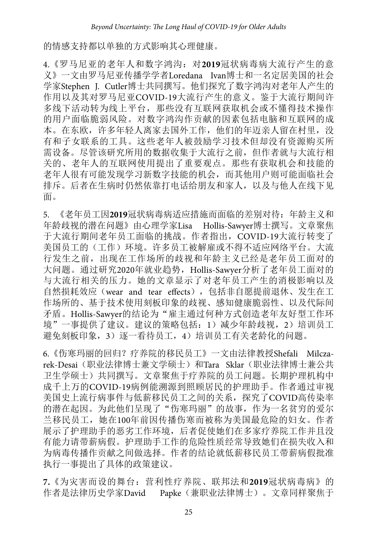的情感支持都以单独的方式影响其心理健康。

4.《罗马尼亚的老年人和数字鸿沟:对**2019**冠状病毒病大流行产生的意 义》一文由罗马尼亚传播学学者Loredana Ivan博士和一名定居美国的社会 学家Stephen J. Cutler博士共同撰写。他们探究了数字鸿沟对老年人产生的 作用以及其对罗马尼亚COVID-19大流行产生的意义。鉴于大流行期间许 多线下活动转为线上平台,那些没有互联网获取机会或不懂得技术操作 的用户面临脆弱风险。对数字鸿沟作贡献的因素包括电脑和互联网的成 本。在东欧,许多年轻人离家去国外工作,他们的年迈亲人留在村里,没 有和子女联系的工具。这些老年人被鼓励学习技术但却没有资源购买所 需设备。尽管该研究所用的数据收集于大流行之前,但作者就与大流行相 关的、老年人的互联网使用提出了重要观点。那些有获取机会和技能的 老年人很有可能发现学习新数字技能的机会,而其他用户则可能面临社会 排斥。后者在生病时仍然依靠打电话给朋友和家人,以及与他人在线下见 面。

5. 《老年员工因**2019**冠状病毒病适应措施而面临的差别对待:年龄主义和 年龄歧视的潜在问题》由心理学家Lisa Hollis-Sawyer博士撰写。文章聚焦 于大流行期间老年员工面临的挑战。作者指出,COVID-19大流行转变了 美国员工的(工作)环境。许多员工被解雇或不得不适应网络平台。大流 行发生之前,出现在工作场所的歧视和年龄主义已经是老年员工面对的 大问题。通过研究2020年就业趋势, Hollis-Sawyer分析了老年员工面对的 与大流行相关的压力。她的文章显示了对老年员工产生的消极影响以及 自然损耗效应(wear and tear effects), 包括非自愿提前退休、发生在工 作场所的、基于技术使用刻板印象的歧视、感知健康脆弱性、以及代际间 矛盾。Hollis-Sawyer的结论为"雇主通过何种方式创造老年友好型工作环 境"一事提供了建议。建议的策略包括: 1)减少年龄歧视, 2)培训员工 避免刻板印象,3)逐一看待员工,4)培训员工有关老龄化的问题。

6.《伤寒玛丽的回归?疗养院的移民员工》一文由法律教授Shefali Milczarek-Desai(职业法律博士兼文学硕士)和Tara Sklar(职业法律博士兼公共 卫生学硕士)共同撰写。文章聚焦于疗养院的员工问题。长期护理机构中 成千上万的COVID-19病例能溯源到照顾居民的护理助手。作者通过审视 美国史上流行病事件与低薪移民员工之间的关系,探究了COVID高传染率 的潜在起因。为此他们呈现了"伤寒玛丽"的故事,作为一名贫穷的爱尔 兰移民员工,她在100年前因传播伤寒而被称为美国最危险的妇女。作者 展示了护理助手的恶劣工作环境,后者促使她们在多家疗养院工作并且没 有能力请带薪病假。护理助手工作的危险性质经常导致她们在损失收入和 为病毒传播作贡献之间做选择。作者的结论就低薪移民员工带薪病假批准 执行一事提出了具体的政策建议。

**7.**《为灾害而设的舞台:营利性疗养院、联邦法和**2019**冠状病毒病》的 作者是法律历史学家David Papke(兼职业法律博士)。文章同样聚焦于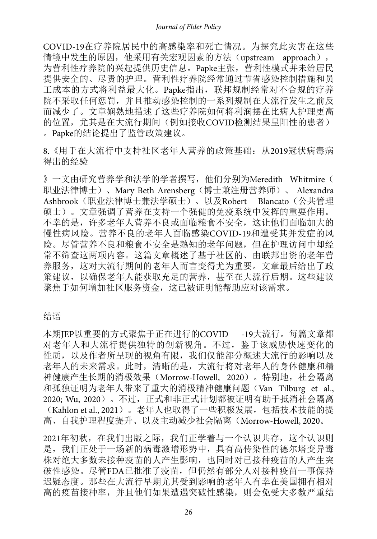COVID-19在疗养院居民中的高感染率和死亡情况。为探究此灾害在这些 情境中发生的原因,他采用有关宏观因素的方法(upstream approach), 为营利性疗养院的兴起提供历史信息。Papke主张,营利性模式并未给居民 提供安全的、尽责的护理。营利性疗养院经常通过节省感染控制措施和员 工成本的方式将利益最大化。Papke指出,联邦规制经常对不合规的疗养 院不采取任何惩罚,并且推动感染控制的一系列规制在大流行发生之前反 而减少了。文章娴熟地描述了这些疗养院如何将利润摆在比病人护理更高 的位置,尤其是在大流行期间(例如接收COVID检测结果呈阳性的患者) 。Papke的结论提出了监管政策建议。

8.《用于在大流行中支持社区老年人营养的政策基础:从2019冠状病毒病 得出的经验

》一文由研究营养学和法学的学者撰写, 他们分别为Meredith Whitmire( 职业法律博士)、Mary Beth Arensberg(博士兼注册营养师)、 Alexandra Ashbrook(职业法律博士兼法学硕士)、以及Robert Blancato(公共管理 硕士)。文章强调了营养在支持一个强健的免疫系统中发挥的重要作用。 不幸的是,许多老年人营养不良或面临粮食不安全,这让他们面临加大的 慢性病风险。营养不良的老年人面临感染COVID-19和遭受其并发症的风 险。尽管营养不良和粮食不安全是熟知的老年问题,但在护理访问中却经 常不筛查这两项内容。这篇文章概述了基于社区的、由联邦出资的老年营 养服务,这对大流行期间的老年人而言变得尤为重要。文章最后给出了政 策建议,以确保老年人能获取充足的营养,甚至在大流行后期。这些建议 聚焦于如何增加社区服务资金,这已被证明能帮助应对该需求。

结语

本期JEP以重要的方式聚焦于正在进行的COVID -19大流行。每篇文章都 对老年人和大流行提供独特的创新视角。不过,鉴于该威胁快速变化的 性质,以及作者所呈现的视角有限,我们仅能部分概述大流行的影响以及 老年人的未来需求。此时,清晰的是,大流行将对老年人的身体健康和精 神健康产生长期的消极效果(Morrow-Howell, 2020)。特别地,社会隔离 和孤独证明为老年人带来了重大的消极精神健康问题(Van Tilburg et al., 2020; Wu, 2020)。不过, 正式和非正式计划都被证明有助于抵消社会隔离 (Kahlon et al., 2021)。老年人也取得了一些积极发展,包括技术技能的提 高、自我护理程度提升、以及主动减少社会隔离(Morrow-Howell, 2020。

2021年初秋,在我们出版之际,我们正学着与一个认识共存,这个认识则 是,我们正处于一场新的病毒激增形势中,具有高传染性的德尔塔变异毒 株对绝大多数未接种疫苗的人产生影响,也同时对已接种疫苗的人产生突 破性感染。尽管FDA已批准了疫苗,但仍然有部分人对接种疫苗一事保持 迟疑态度。那些在大流行早期尤其受到影响的老年人有幸在美国拥有相对 高的疫苗接种率,并且他们如果遭遇突破性感染,则会免受大多数严重结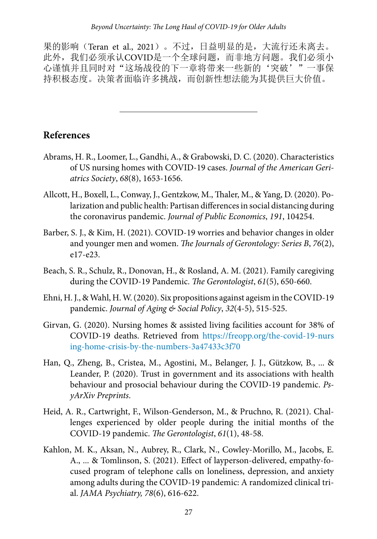果的影响(Teran et al., 2021)。不过,日益明显的是,大流行还未离去。 此外,我们必须承认COVID是一个全球问题,而非地方问题。我们必须小 心谨慎并且同时对"这场战役的下一章将带来一些新的'突破'"一事保 持积极态度。决策者面临许多挑战,而创新性想法能为其提供巨大价值。

### **References**

- Abrams, H. R., Loomer, L., Gandhi, A., & Grabowski, D. C. (2020). Characteristics of US nursing homes with COVID‐19 cases. *Journal of the American Geriatrics Society*, *68*(8), 1653-1656.
- Allcott, H., Boxell, L., Conway, J., Gentzkow, M., Thaler, M., & Yang, D. (2020). Polarization and public health: Partisan differences in social distancing during the coronavirus pandemic. *Journal of Public Economics*, *191*, 104254.
- Barber, S. J., & Kim, H. (2021). COVID-19 worries and behavior changes in older and younger men and women. *The Journals of Gerontology: Series B*, *76*(2), e17-e23.
- Beach, S. R., Schulz, R., Donovan, H., & Rosland, A. M. (2021). Family caregiving during the COVID-19 Pandemic. *The Gerontologist*, *61*(5), 650-660.
- Ehni, H. J., & Wahl, H. W. (2020). Six propositions against ageism in the COVID-19 pandemic. *Journal of Aging & Social Policy*, *32*(4-5), 515-525.
- Girvan, G. (2020). Nursing homes & assisted living facilities account for 38% of COVID-19 deaths. Retrieved from [https://freopp.org/the-covid-19-nurs](https://freopp.org/the-covid-19-nursing-home-crisis-by-the-numbers-3a47433c3f70) [ing-home-crisis-by-the-numbers-3a47433c3f70](https://freopp.org/the-covid-19-nursing-home-crisis-by-the-numbers-3a47433c3f70)
- Han, Q., Zheng, B., Cristea, M., Agostini, M., Belanger, J. J., Gützkow, B., ... & Leander, P. (2020). Trust in government and its associations with health behaviour and prosocial behaviour during the COVID-19 pandemic. *PsyArXiv Preprints*.
- Heid, A. R., Cartwright, F., Wilson-Genderson, M., & Pruchno, R. (2021). Challenges experienced by older people during the initial months of the COVID-19 pandemic. *The Gerontologist*, *61*(1), 48-58.
- Kahlon, M. K., Aksan, N., Aubrey, R., Clark, N., Cowley-Morillo, M., Jacobs, E. A., ... & Tomlinson, S. (2021). Effect of layperson-delivered, empathy-focused program of telephone calls on loneliness, depression, and anxiety among adults during the COVID-19 pandemic: A randomized clinical trial. *JAMA Psychiatry, 78*(6), 616-622.